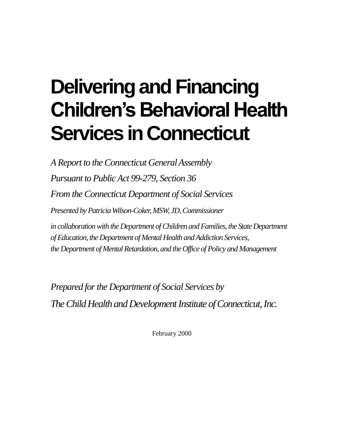# **Delivering and Financing Children's Behavioral Health Services in Connecticut**

*A Report to the Connecticut General Assembly Pursuant to Public Act 99-279, Section 36 From the Connecticut Department of Social Services Presented by Patricia Wilson-Coker, MSW, JD, Commissioner* in collaboration with the Department of Children and Families, the State Department *of Education, the Department of Mental Health and Addiction Services, the Department of Mental Retardation, and the Office of Policy and Management*

*Prepared for the Department of Social Services by The Child Health and Development Institute of Connecticut, Inc.*

February 2000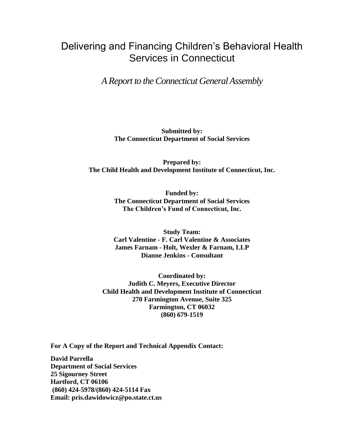# Delivering and Financing Children's Behavioral Health Services in Connecticut

*A Report to the Connecticut General Assembly*

**Submitted by: The Connecticut Department of Social Services**

**Prepared by: The Child Health and Development Institute of Connecticut, Inc.**

> **Funded by: The Connecticut Department of Social Services The Children's Fund of Connecticut, Inc.**

> **Study Team: Carl Valentine - F. Carl Valentine & Associates James Farnam - Holt, Wexler & Farnam, LLP Dianne Jenkins - Consultant**

**Coordinated by: Judith C. Meyers, Executive Director Child Health and Development Institute of Connecticut 270 Farmington Avenue, Suite 325 Farmington, CT 06032 (860) 679-1519**

**For A Copy of the Report and Technical Appendix Contact:** 

**David Parrella Department of Social Services 25 Sigourney Street Hartford, CT 06106 (860) 424-5978/(860) 424-5114 Fax Email: [pris.dawidowicz@po.state.ct.us](mailto:pris.dawidowicz@po.state.ct.us)**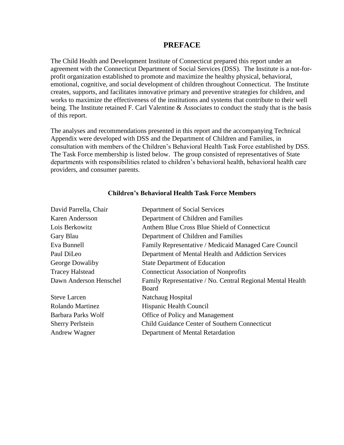#### **PREFACE**

The Child Health and Development Institute of Connecticut prepared this report under an agreement with the Connecticut Department of Social Services (DSS). The Institute is a not-forprofit organization established to promote and maximize the healthy physical, behavioral, emotional, cognitive, and social development of children throughout Connecticut. The Institute creates, supports, and facilitates innovative primary and preventive strategies for children, and works to maximize the effectiveness of the institutions and systems that contribute to their well being. The Institute retained F. Carl Valentine & Associates to conduct the study that is the basis of this report.

The analyses and recommendations presented in this report and the accompanying Technical Appendix were developed with DSS and the Department of Children and Families, in consultation with members of the Children's Behavioral Health Task Force established by DSS. The Task Force membership is listed below. The group consisted of representatives of State departments with responsibilities related to children's behavioral health, behavioral health care providers, and consumer parents.

| David Parrella, Chair                                                           | Department of Social Services                                       |  |  |
|---------------------------------------------------------------------------------|---------------------------------------------------------------------|--|--|
| Karen Andersson                                                                 | Department of Children and Families                                 |  |  |
| Lois Berkowitz                                                                  | Anthem Blue Cross Blue Shield of Connecticut                        |  |  |
| Gary Blau                                                                       | Department of Children and Families                                 |  |  |
| Eva Bunnell                                                                     | Family Representative / Medicaid Managed Care Council               |  |  |
| Paul DiLeo<br>Department of Mental Health and Addiction Services                |                                                                     |  |  |
| George Dowaliby<br><b>State Department of Education</b>                         |                                                                     |  |  |
| <b>Tracey Halstead</b>                                                          | <b>Connecticut Association of Nonprofits</b>                        |  |  |
| Dawn Anderson Henschel                                                          | Family Representative / No. Central Regional Mental Health<br>Board |  |  |
| <b>Steve Larcen</b>                                                             | Natchaug Hospital                                                   |  |  |
| <b>Rolando Martinez</b>                                                         | Hispanic Health Council                                             |  |  |
| Barbara Parks Wolf                                                              | Office of Policy and Management                                     |  |  |
| <b>Child Guidance Center of Southern Connecticut</b><br><b>Sherry Perlstein</b> |                                                                     |  |  |
| Andrew Wagner                                                                   | Department of Mental Retardation                                    |  |  |

#### **Children's Behavioral Health Task Force Members**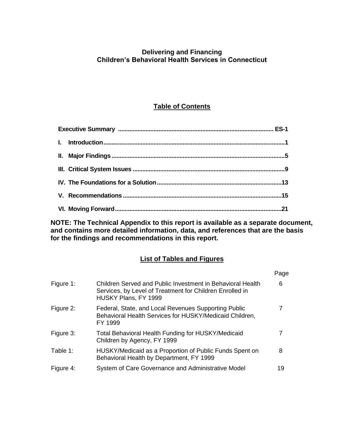### **Delivering and Financing Children's Behavioral Health Services in Connecticut**

## **Table of Contents**

**NOTE: The Technical Appendix to this report is available as a separate document, and contains more detailed information, data, and references that are the basis for the findings and recommendations in this report.**

#### **List of Tables and Figures**

|           |                                                                                                                                                | Page |
|-----------|------------------------------------------------------------------------------------------------------------------------------------------------|------|
| Figure 1: | Children Served and Public Investment in Behavioral Health<br>Services, by Level of Treatment for Children Enrolled in<br>HUSKY Plans, FY 1999 | 6    |
| Figure 2: | Federal, State, and Local Revenues Supporting Public<br>Behavioral Health Services for HUSKY/Medicaid Children,<br>FY 1999                     | 7    |
| Figure 3: | <b>Total Behavioral Health Funding for HUSKY/Medicaid</b><br>Children by Agency, FY 1999                                                       |      |
| Table 1:  | HUSKY/Medicaid as a Proportion of Public Funds Spent on<br>Behavioral Health by Department, FY 1999                                            | 8    |
| Figure 4: | System of Care Governance and Administrative Model                                                                                             | 19   |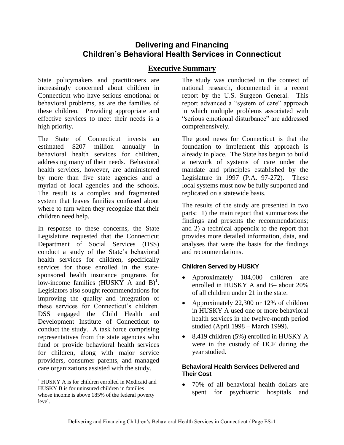## **Delivering and Financing Children's Behavioral Health Services in Connecticut**

## **Executive Summary**

State policymakers and practitioners are increasingly concerned about children in Connecticut who have serious emotional or behavioral problems, as are the families of these children. Providing appropriate and effective services to meet their needs is a high priority.

The State of Connecticut invests an estimated \$207 million annually in behavioral health services for children, addressing many of their needs. Behavioral health services, however, are administered by more than five state agencies and a myriad of local agencies and the schools. The result is a complex and fragmented system that leaves families confused about where to turn when they recognize that their children need help.

In response to these concerns, the State Legislature requested that the Connecticut Department of Social Services (DSS) conduct a study of the State's behavioral health services for children, specifically services for those enrolled in the statesponsored health insurance programs for low-income families  $(HUSKY \nA \nand B)^1$ . Legislators also sought recommendations for improving the quality and integration of these services for Connecticut's children. DSS engaged the Child Health and Development Institute of Connecticut to conduct the study. A task force comprising representatives from the state agencies who fund or provide behavioral health services for children, along with major service providers, consumer parents, and managed care organizations assisted with the study.

 $\overline{a}$ 

The study was conducted in the context of national research, documented in a recent report by the U.S. Surgeon General. This report advanced a "system of care" approach in which multiple problems associated with "serious emotional disturbance" are addressed comprehensively.

The good news for Connecticut is that the foundation to implement this approach is already in place. The State has begun to build a network of systems of care under the mandate and principles established by the Legislature in 1997 (P.A. 97-272). These local systems must now be fully supported and replicated on a statewide basis.

The results of the study are presented in two parts: 1) the main report that summarizes the findings and presents the recommendations; and 2) a technical appendix to the report that provides more detailed information, data, and analyses that were the basis for the findings and recommendations.

#### **Children Served by HUSKY**

- Approximately 184,000 children are enrolled in HUSKY A and B– about 20% of all children under 21 in the state.
- Approximately 22,300 or 12% of children in HUSKY A used one or more behavioral health services in the twelve-month period studied (April 1998 – March 1999).
- 8,419 children (5%) enrolled in HUSKY A were in the custody of DCF during the year studied.

#### **Behavioral Health Services Delivered and Their Cost**

 70% of all behavioral health dollars are spent for psychiatric hospitals and

 $<sup>1</sup>$  HUSKY A is for children enrolled in Medicaid and</sup> HUSKY B is for uninsured children in families whose income is above 185% of the federal poverty level.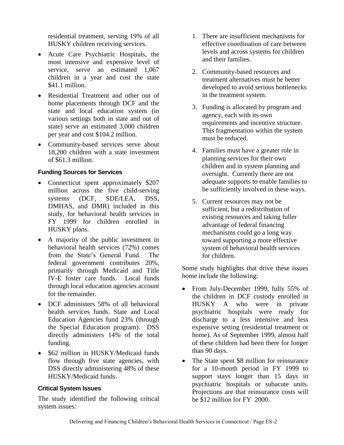residential treatment, serving 19% of all HUSKY children receiving services.

- Acute Care Psychiatric Hospitals, the most intensive and expensive level of service, serve an estimated 1,067 children in a year and cost the state \$41.1 million.
- Residential Treatment and other out of home placements through DCF and the state and local education system (in various settings both in state and out of state) serve an estimated 3,000 children per year and cost \$104.2 million.
- Community-based services serve about 18,200 children with a state investment of \$61.3 million.

#### **Funding Sources for Services**

- Connecticut spent approximately \$207 million across the five child-serving systems (DCF, SDE/LEA, DSS, DMHAS, and DMR) included in this study, for behavioral health services in FY 1999 for children enrolled in HUSKY plans.
- A majority of the public investment in behavioral health services (72%) comes from the State's General Fund. The federal government contributes 20%, primarily through Medicaid and Title IV-E foster care funds. Local funds through local education agencies account for the remainder.
- DCF administers 58% of all behavioral health services funds. State and Local Education Agencies fund 23% (through the Special Education program). DSS directly administers 14% of the total funding.
- \$62 million in HUSKY/Medicaid funds flow through five state agencies, with DSS directly administering 48% of these HUSKY/Medicaid funds.

#### **Critical System Issues**

The study identified the following critical system issues:

- 1. There are insufficient mechanisms for effective coordination of care between levels and across systems for children and their families.
- 2. Community-based resources and treatment alternatives must be better developed to avoid serious bottlenecks in the treatment system.
- 3. Funding is allocated by program and agency, each with its own requirements and incentive structure. This fragmentation within the system must be reduced.
- 4. Families must have a greater role in planning services for their own children and in system planning and oversight. Currently there are not adequate supports to enable families to be sufficiently involved in these ways.
- 5. Current resources may not be sufficient, but a redistribution of existing resources and taking fuller advantage of federal financing mechanisms could go a long way toward supporting a more effective system of behavioral health services for children.

Some study highlights that drive these issues home include the following:

- From July-December 1999, fully 55% of the children in DCF custody enrolled in HUSKY A who were in private psychiatric hospitals were ready for discharge to a less intensive and less expensive setting (residential treatment or home). As of September 1999, almost half of these children had been there for longer than 90 days.
- The State spent \$8 million for reinsurance for a 10-month period in FY 1999 to support stays longer than 15 days in psychiatric hospitals or subacute units. Projections are that reinsurance costs will be \$12 million for FY 2000.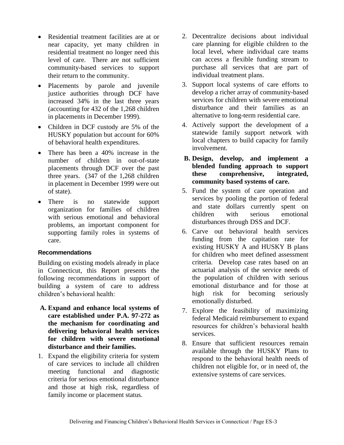- Residential treatment facilities are at or near capacity, yet many children in residential treatment no longer need this level of care. There are not sufficient community-based services to support their return to the community.
- Placements by parole and juvenile justice authorities through DCF have increased 34% in the last three years (accounting for 432 of the 1,268 children in placements in December 1999).
- Children in DCF custody are 5% of the HUSKY population but account for 60% of behavioral health expenditures.
- There has been a 40% increase in the number of children in out-of-state placements through DCF over the past three years. (347 of the 1,268 children in placement in December 1999 were out of state).
- There is no statewide support organization for families of children with serious emotional and behavioral problems, an important component for supporting family roles in systems of care.

#### **Recommendations**

Building on existing models already in place in Connecticut, this Report presents the following recommendations in support of building a system of care to address children's behavioral health:

- **A. Expand and enhance local systems of care established under P.A. 97-272 as the mechanism for coordinating and delivering behavioral health services for children with severe emotional disturbance and their families.**
- 1. Expand the eligibility criteria for system of care services to include all children meeting functional and diagnostic criteria for serious emotional disturbance and those at high risk, regardless of family income or placement status.
- 2. Decentralize decisions about individual care planning for eligible children to the local level, where individual care teams can access a flexible funding stream to purchase all services that are part of individual treatment plans.
- 3. Support local systems of care efforts to develop a richer array of community-based services for children with severe emotional disturbance and their families as an alternative to long-term residential care.
- 4. Actively support the development of a statewide family support network with local chapters to build capacity for family involvement.
- **B. Design, develop, and implement a blended funding approach to support these comprehensive, integrated, community based systems of care.**
- 5. Fund the system of care operation and services by pooling the portion of federal and state dollars currently spent on children with serious emotional disturbances through DSS and DCF.
- 6. Carve out behavioral health services funding from the capitation rate for existing HUSKY A and HUSKY B plans for children who meet defined assessment criteria. Develop case rates based on an actuarial analysis of the service needs of the population of children with serious emotional disturbance and for those at high risk for becoming seriously emotionally disturbed.
- 7. Explore the feasibility of maximizing federal Medicaid reimbursement to expand resources for children's behavioral health services.
- 8. Ensure that sufficient resources remain available through the HUSKY Plans to respond to the behavioral health needs of children not eligible for, or in need of, the extensive systems of care services.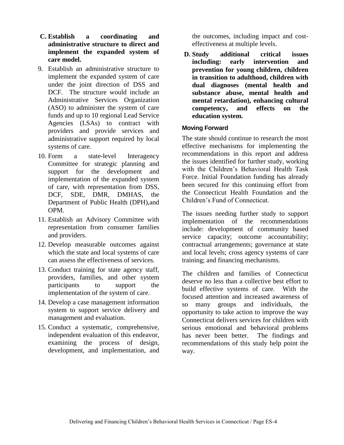- **C. Establish a coordinating and administrative structure to direct and implement the expanded system of care model.**
- 9. Establish an administrative structure to implement the expanded system of care under the joint direction of DSS and DCF. The structure would include an Administrative Services Organization (ASO) to administer the system of care funds and up to 10 regional Lead Service Agencies (LSAs) to contract with providers and provide services and administrative support required by local systems of care.
- 10. Form a state-level Interagency Committee for strategic planning and support for the development and implementation of the expanded system of care, with representation from DSS, DCF, SDE, DMR, DMHAS, the Department of Public Health (DPH),and OPM.
- 11. Establish an Advisory Committee with representation from consumer families and providers.
- 12. Develop measurable outcomes against which the state and local systems of care can assess the effectiveness of services.
- 13. Conduct training for state agency staff, providers, families, and other system participants to support the implementation of the system of care.
- 14. Develop a case management information system to support service delivery and management and evaluation.
- 15. Conduct a systematic, comprehensive, independent evaluation of this endeavor, examining the process of design, development, and implementation, and

the outcomes, including impact and costeffectiveness at multiple levels.

**D. Study additional critical issues including: early intervention and prevention for young children, children in transition to adulthood, children with dual diagnoses (mental health and substance abuse, mental health and mental retardation), enhancing cultural competency, and effects on the education system.**

#### **Moving Forward**

The state should continue to research the most effective mechanisms for implementing the recommendations in this report and address the issues identified for further study, working with the Children's Behavioral Health Task Force. Initial Foundation funding has already been secured for this continuing effort from the Connecticut Health Foundation and the Children's Fund of Connecticut.

The issues needing further study to support implementation of the recommendations include: development of community based service capacity; outcome accountability; contractual arrangements; governance at state and local levels; cross agency systems of care training; and financing mechanisms.

The children and families of Connecticut deserve no less than a collective best effort to build effective systems of care. With the focused attention and increased awareness of so many groups and individuals, the opportunity to take action to improve the way Connecticut delivers services for children with serious emotional and behavioral problems has never been better. The findings and recommendations of this study help point the way.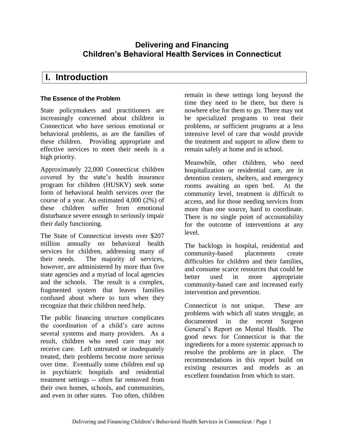## **Delivering and Financing Children's Behavioral Health Services in Connecticut**

# **I. Introduction**

#### **The Essence of the Problem**

State policymakers and practitioners are increasingly concerned about children in Connecticut who have serious emotional or behavioral problems, as are the families of these children. Providing appropriate and effective services to meet their needs is a high priority.

Approximately 22,000 Connecticut children covered by the state's health insurance program for children (HUSKY) seek some form of behavioral health services over the course of a year. An estimated 4,000 (2%) of these children suffer from emotional disturbance severe enough to seriously impair their daily functioning.

The State of Connecticut invests over \$207 million annually on behavioral health services for children, addressing many of their needs. The majority of services, however, are administered by more than five state agencies and a myriad of local agencies and the schools. The result is a complex, fragmented system that leaves families confused about where to turn when they recognize that their children need help.

The public financing structure complicates the coordination of a child's care across several systems and many providers. As a result, children who need care may not receive care. Left untreated or inadequately treated, their problems become more serious over time. Eventually some children end up in psychiatric hospitals and residential treatment settings -- often far removed from their own homes, schools, and communities, and even in other states. Too often, children

remain in these settings long beyond the time they need to be there, but there is nowhere else for them to go. There may not be specialized programs to treat their problems, or sufficient programs at a less intensive level of care that would provide the treatment and support to allow them to remain safely at home and in school.

Meanwhile, other children, who need hospitalization or residential care, are in detention centers, shelters, and emergency rooms awaiting an open bed. At the community level, treatment is difficult to access, and for those needing services from more than one source, hard to coordinate. There is no single point of accountability for the outcome of interventions at any level.

The backlogs in hospital, residential and community-based placements create difficulties for children and their families, and consume scarce resources that could be better used in more appropriate community-based care and increased early intervention and prevention.

Connecticut is not unique. These are problems with which all states struggle, as documented in the recent Surgeon General's Report on Mental Health. The good news for Connecticut is that the ingredients for a more systemic approach to resolve the problems are in place. The recommendations in this report build on existing resources and models as an excellent foundation from which to start.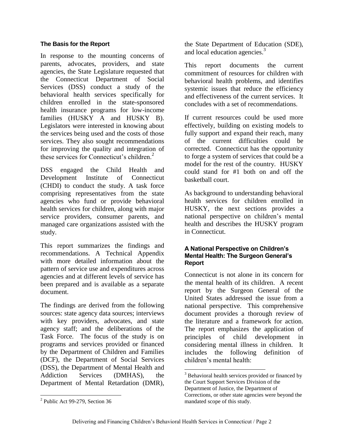#### **The Basis for the Report**

In response to the mounting concerns of parents, advocates, providers, and state agencies, the State Legislature requested that the Connecticut Department of Social Services (DSS) conduct a study of the behavioral health services specifically for children enrolled in the state-sponsored health insurance programs for low-income families (HUSKY A and HUSKY B). Legislators were interested in knowing about the services being used and the costs of those services. They also sought recommendations for improving the quality and integration of these services for Connecticut's children. $<sup>2</sup>$ </sup>

DSS engaged the Child Health and Development Institute of Connecticut (CHDI) to conduct the study. A task force comprising representatives from the state agencies who fund or provide behavioral health services for children, along with major service providers, consumer parents, and managed care organizations assisted with the study.

This report summarizes the findings and recommendations. A Technical Appendix with more detailed information about the pattern of service use and expenditures across agencies and at different levels of service has been prepared and is available as a separate document.

The findings are derived from the following sources: state agency data sources; interviews with key providers, advocates, and state agency staff; and the deliberations of the Task Force. The focus of the study is on programs and services provided or financed by the Department of Children and Families (DCF), the Department of Social Services (DSS), the Department of Mental Health and Addiction Services (DMHAS), the Department of Mental Retardation (DMR),

the State Department of Education (SDE), and local education agencies.<sup>3</sup>

This report documents the current commitment of resources for children with behavioral health problems, and identifies systemic issues that reduce the efficiency and effectiveness of the current services. It concludes with a set of recommendations.

If current resources could be used more effectively, building on existing models to fully support and expand their reach, many of the current difficulties could be corrected. Connecticut has the opportunity to forge a system of services that could be a model for the rest of the country. HUSKY could stand for #1 both on and off the basketball court.

As background to understanding behavioral health services for children enrolled in HUSKY, the next sections provides a national perspective on children's mental health and describes the HUSKY program in Connecticut.

#### **A National Perspective on Children's Mental Health: The Surgeon General's Report**

Connecticut is not alone in its concern for the mental health of its children. A recent report by the Surgeon General of the United States addressed the issue from a national perspective. This comprehensive document provides a thorough review of the literature and a framework for action. The report emphasizes the application of principles of child development in considering mental illness in children. It includes the following definition of children's mental health:

 $\overline{a}$ 

<sup>&</sup>lt;sup>2</sup> Public Act 99-279, Section 36

 $3$  Behavioral health services provided or financed by the Court Support Services Division of the Department of Justice, the Department of Corrections, or other state agencies were beyond the mandated scope of this study.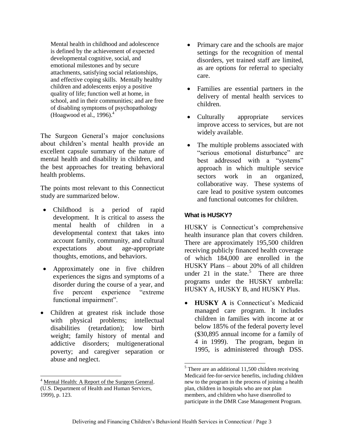Mental health in childhood and adolescence is defined by the achievement of expected developmental cognitive, social, and emotional milestones and by secure attachments, satisfying social relationships, and effective coping skills. Mentally healthy children and adolescents enjoy a positive quality of life; function well at home, in school, and in their communities; and are free of disabling symptoms of psychopathology (Hoagwood et al., 1996). $<sup>4</sup>$ </sup>

The Surgeon General's major conclusions about children's mental health provide an excellent capsule summary of the nature of mental health and disability in children, and the best approaches for treating behavioral health problems.

The points most relevant to this Connecticut study are summarized below.

- Childhood is a period of rapid development. It is critical to assess the mental health of children in a developmental context that takes into account family, community, and cultural expectations about age-appropriate thoughts, emotions, and behaviors.
- Approximately one in five children experiences the signs and symptoms of a disorder during the course of a year, and five percent experience "extreme functional impairment".
- Children at greatest risk include those with physical problems; intellectual disabilities (retardation); low birth weight; family history of mental and addictive disorders; multigenerational poverty; and caregiver separation or abuse and neglect.

 $\overline{a}$ 

- Primary care and the schools are major settings for the recognition of mental disorders, yet trained staff are limited, as are options for referral to specialty care.
- Families are essential partners in the delivery of mental health services to children.
- Culturally appropriate services improve access to services, but are not widely available.
- The multiple problems associated with "serious emotional disturbance" are best addressed with a "systems" approach in which multiple service sectors work in an organized, collaborative way. These systems of care lead to positive system outcomes and functional outcomes for children.

#### **What is HUSKY?**

HUSKY is Connecticut's comprehensive health insurance plan that covers children. There are approximately 195,500 children receiving publicly financed health coverage of which 184,000 are enrolled in the HUSKY Plans – about 20% of all children under 21 in the state.<sup>5</sup> There are three programs under the HUSKY umbrella: HUSKY A, HUSKY B, and HUSKY Plus.

 **HUSKY A** is Connecticut's Medicaid managed care program. It includes children in families with income at or below 185% of the federal poverty level (\$30,895 annual income for a family of 4 in 1999). The program, begun in 1995, is administered through DSS.

 $\overline{a}$ 

<sup>&</sup>lt;sup>4</sup> Mental Health: A Report of the Surgeon General. (U.S. Department of Health and Human Services, 1999), p. 123.

 $<sup>5</sup>$  There are an additional 11,500 children receiving</sup> Medicaid fee-for-service benefits, including children new to the program in the process of joining a health plan, children in hospitals who are not plan members, and children who have disenrolled to participate in the DMR Case Management Program.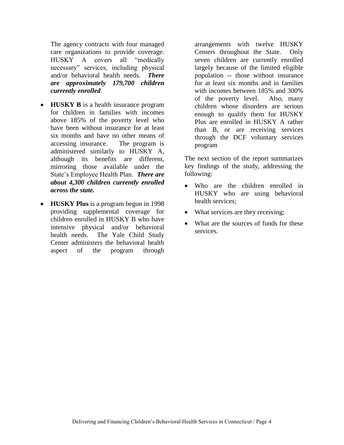The agency contracts with four managed care organizations to provide coverage. HUSKY A covers all "medically necessary" services, including physical and/or behavioral health needs. *There are approximately 179,700 children currently enrolled.*

- **HUSKY B** is a health insurance program for children in families with incomes above 185% of the poverty level who have been without insurance for at least six months and have no other means of accessing insurance. The program is administered similarly to HUSKY A, although its benefits are different, mirroring those available under the State's Employee Health Plan. *There are about 4,300 children currently enrolled across the state.*
- **HUSKY Plus** is a program begun in 1998 providing supplemental coverage for children enrolled in HUSKY B who have intensive physical and/or behavioral health needs. The Yale Child Study Center administers the behavioral health aspect of the program through

arrangements with twelve HUSKY Centers throughout the State. Only seven children are currently enrolled largely because of the limited eligible population -- those without insurance for at least six months and in families with incomes between 185% and 300% of the poverty level. Also, many children whose disorders are serious enough to qualify them for HUSKY Plus are enrolled in HUSKY A rather than B, or are receiving services through the DCF voluntary services program

The next section of the report summarizes key findings of the study, addressing the following:

- Who are the children enrolled in HUSKY who are using behavioral health services;
- What services are they receiving;
- What are the sources of funds for these services.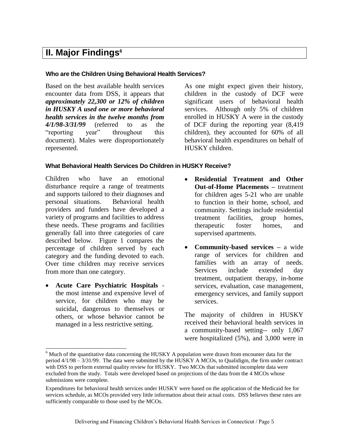# **II. Major Findings<sup>6</sup>**

#### **Who are the Children Using Behavioral Health Services?**

Based on the best available health services encounter data from DSS, it appears that *approximately 22,300 or 12% of children in HUSKY A used one or more behavioral health services in the twelve months from 4/1/98-3/31/99* (referred to as the "reporting year" throughout this document). Males were disproportionately represented.

As one might expect given their history, children in the custody of DCF were significant users of behavioral health services. Although only 5% of children enrolled in HUSKY A were in the custody of DCF during the reporting year (8,419 children), they accounted for 60% of all behavioral health expenditures on behalf of HUSKY children.

#### **What Behavioral Health Services Do Children in HUSKY Receive?**

Children who have an emotional disturbance require a range of treatments and supports tailored to their diagnoses and personal situations. Behavioral health providers and funders have developed a variety of programs and facilities to address these needs. These programs and facilities generally fall into three categories of care described below. Figure 1 compares the percentage of children served by each category and the funding devoted to each. Over time children may receive services from more than one category.

 **Acute Care Psychiatric Hospitals** the most intense and expensive level of service, for children who may be suicidal, dangerous to themselves or others, or whose behavior cannot be managed in a less restrictive setting.

 $\overline{a}$ 

- **Residential Treatment and Other Out-of-Home Placements –** treatment for children ages 5-21 who are unable to function in their home, school, and community. Settings include residential treatment facilities, group homes, therapeutic foster homes, and supervised apartments.
- **Community-based services –** a wide range of services for children and families with an array of needs. Services include extended day treatment, outpatient therapy, in-home services, evaluation, case management, emergency services, and family support services.

The majority of children in HUSKY received their behavioral health services in a community-based setting-- only 1,067 were hospitalized (5%), and 3,000 were in

 $6$  Much of the quantitative data concerning the HUSKY A population were drawn from encounter data for the period 4/1/98 – 3/31/99. The data were submitted by the HUSKY A MCOs, to Qualidigm, the firm under contract with DSS to perform external quality review for HUSKY. Two MCOs that submitted incomplete data were excluded from the study. Totals were developed based on projections of the data from the 4 MCOs whose submissions were complete.

Expenditures for behavioral health services under HUSKY were based on the application of the Medicaid fee for services schedule, as MCOs provided very little information about their actual costs. DSS believes these rates are sufficiently comparable to those used by the MCOs.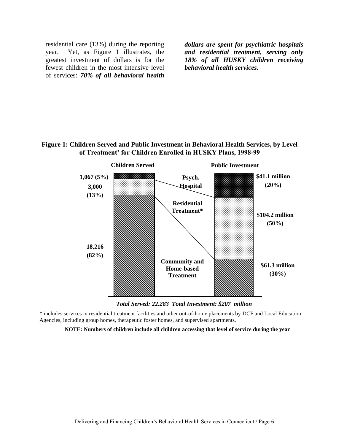residential care (13%) during the reporting year. Yet, as Figure 1 illustrates, the greatest investment of dollars is for the fewest children in the most intensive level of services: *70% of all behavioral health* 

*dollars are spent for psychiatric hospitals and residential treatment, serving only 18% of all HUSKY children receiving behavioral health services.*

#### **Figure 1: Children Served and Public Investment in Behavioral Health Services, by Level of Treatment' for Children Enrolled in HUSKY Plans, 1998-99**



*Total Served: 22,283 Total Investment: \$207 million*

\* includes services in residential treatment facilities and other out-of-home placements by DCF and Local Education Agencies, including group homes, therapeutic foster homes, and supervised apartments.

**NOTE: Numbers of children include all children accessing that level of service during the year**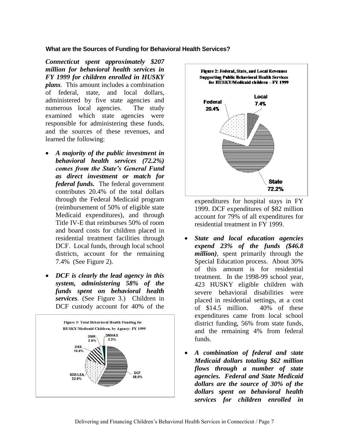#### **What are the Sources of Funding for Behavioral Health Services?**

*Connecticut spent approximately \$207 million for behavioral health services in FY 1999 for children enrolled in HUSKY plans*. This amount includes a combination of federal, state, and local dollars, administered by five state agencies and numerous local agencies. The study examined which state agencies were responsible for administering these funds, and the sources of these revenues, and learned the following:

- *A majority of the public investment in behavioral health services (72.2%) comes from the State's General Fund as direct investment or match for federal funds.* The federal government contributes 20.4% of the total dollars through the Federal Medicaid program (reimbursement of 50% of eligible state Medicaid expenditures), and through Title IV-E that reimburses 50% of room and board costs for children placed in residential treatment facilities through DCF. Local funds, through local school districts, account for the remaining 7.4% (See Figure 2).
- *DCF is clearly the lead agency in this system, administering 58% of the funds spent on behavioral health services*. (See Figure 3.)Children in DCF custody account for 40% of the





expenditures for hospital stays in FY 1999. DCF expenditures of \$82 million account for 79% of all expenditures for residential treatment in FY 1999.

- *State and local education agencies expend 23% of the funds (\$46.8 million)*, spent primarily through the Special Education process. About 30% of this amount is for residential treatment. In the 1998-99 school year, 423 HUSKY eligible children with severe behavioral disabilities were placed in residential settings, at a cost of \$14.5 million. 40% of these expenditures came from local school district funding, 56% from state funds, and the remaining 4% from federal funds.
- *A combination of federal and* s*tate Medicaid dollars totaling \$62 million flows through a number of state agencies. Federal and State Medicaid dollars are the source of 30% of the dollars spent on behavioral health services for children enrolled in*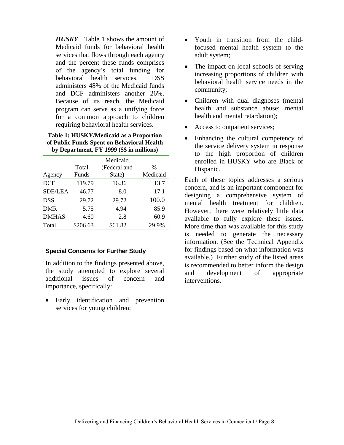*HUSKY*. Table 1 shows the amount of Medicaid funds for behavioral health services that flows through each agency and the percent these funds comprises of the agency's total funding for behavioral health services. DSS administers 48% of the Medicaid funds and DCF administers another 26%. Because of its reach, the Medicaid program can serve as a unifying force for a common approach to children requiring behavioral health services.

**Table 1: HUSKY/Medicaid as a Proportion of Public Funds Spent on Behavioral Health by Department, FY 1999 (\$\$ in millions)**

|                |          | Medicaid     |          |
|----------------|----------|--------------|----------|
|                | Total    | (Federal and | $\%$     |
| Agency         | Funds    | State)       | Medicaid |
| <b>DCF</b>     | 119.79   | 16.36        | 13.7     |
| <b>SDE/LEA</b> | 46.77    | 8.0          | 17.1     |
| <b>DSS</b>     | 29.72    | 29.72        | 100.0    |
| DMR            | 5.75     | 4.94         | 85.9     |
| <b>DMHAS</b>   | 4.60     | 2.8          | 60.9     |
| Total          | \$206.63 | \$61.82      | 29.9%    |

#### **Special Concerns for Further Study**

In addition to the findings presented above, the study attempted to explore several additional issues of concern and importance, specifically:

• Early identification and prevention services for young children;

- Youth in transition from the childfocused mental health system to the adult system;
- The impact on local schools of serving increasing proportions of children with behavioral health service needs in the community;
- Children with dual diagnoses (mental health and substance abuse; mental health and mental retardation);
- Access to outpatient services;
- Enhancing the cultural competency of the service delivery system in response to the high proportion of children enrolled in HUSKY who are Black or Hispanic.

Each of these topics addresses a serious concern, and is an important component for designing a comprehensive system of mental health treatment for children. However, there were relatively little data available to fully explore these issues. More time than was available for this study is needed to generate the necessary information. (See the Technical Appendix for findings based on what information was available.)Further study of the listed areas is recommended to better inform the design and development of appropriate interventions.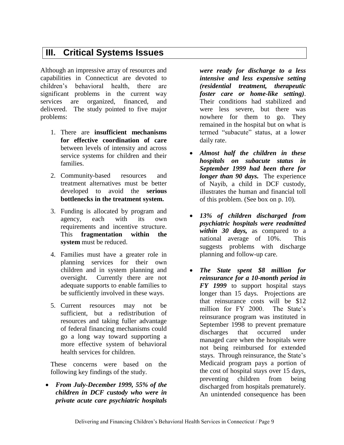# **III. Critical Systems Issues**

Although an impressive array of resources and capabilities in Connecticut are devoted to children's behavioral health, there are significant problems in the current way services are organized, financed, and delivered. The study pointed to five major problems:

- 1. There are **insufficient mechanisms for effective coordination of care** between levels of intensity and across service systems for children and their families.
- 2. Community-based resources and treatment alternatives must be better developed to avoid the **serious bottlenecks in the treatment system.**
- 3. Funding is allocated by program and agency, each with its own requirements and incentive structure. This **fragmentation within the system** must be reduced.
- 4. Families must have a greater role in planning services for their own children and in system planning and oversight. Currently there are not adequate supports to enable families to be sufficiently involved in these ways.
- 5. Current resources may not be sufficient, but a redistribution of resources and taking fuller advantage of federal financing mechanisms could go a long way toward supporting a more effective system of behavioral health services for children.

These concerns were based on the following key findings of the study.

 *From July-December 1999, 55% of the children in DCF custody who were in private acute care psychiatric hospitals* 

*were ready for discharge to a less intensive and less expensive setting (residential treatment, therapeutic foster care or home-like setting)*. Their conditions had stabilized and were less severe, but there was nowhere for them to go. They remained in the hospital but on what is termed "subacute" status, at a lower daily rate.

- *Almost half the children in these hospitals on subacute status in September 1999 had been there for longer than 90 days.* The experience of Nayib, a child in DCF custody, illustrates the human and financial toll of this problem. (See box on p. 10).
- *13% of children discharged from psychiatric hospitals were readmitted within 30 days,* as compared to a national average of 10%. This suggests problems with discharge planning and follow-up care.
- *The State spent \$8 million for reinsurance for a 10-month period in FY 1999* to support hospital stays longer than 15 days. Projections are that reinsurance costs will be \$12 million for FY 2000. The State's reinsurance program was instituted in September 1998 to prevent premature discharges that occurred under managed care when the hospitals were not being reimbursed for extended stays. Through reinsurance, the State's Medicaid program pays a portion of the cost of hospital stays over 15 days, preventing children from being discharged from hospitals prematurely. An unintended consequence has been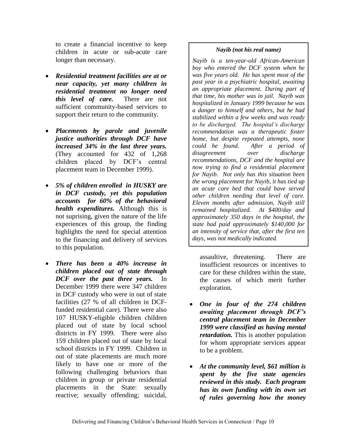to create a financial incentive to keep children in acute or sub-acute care longer than necessary.

- *Residential treatment facilities are at or near capacity, yet many children in residential treatment no longer need this level of care.* There are not sufficient community-based services to support their return to the community.
- *Placements by parole and juvenile justice authorities through DCF have increased 34% in the last three years.*  (They accounted for 432 of 1,268 children placed by DCF's central placement team in December 1999).
- *5% of children enrolled in HUSKY are in DCF custody, yet this population accounts for 60% of the behavioral health expenditures.* Although this is not suprising, given the nature of the life experiences of this group, the finding highlights the need for special attention to the financing and delivery of services to this population.
- *There has been a 40% increase in children placed out of state through DCF over the past three years.* In December 1999 there were 347 children in DCF custody who were in out of state facilities (27 % of all children in DCFfunded residential care). There were also 107 HUSKY-eligible children children placed out of state by local school districts in FY 1999. There were also 159 children placed out of state by local school districts in FY 1999. Children in out of state placements are much more likely to have one or more of the following challenging behaviors than children in group or private residential placements in the State: sexually reactive; sexually offending; suicidal,

#### *Nayib (not his real name)*

*Nayib is a ten-year-old African-American boy who entered the DCF system when he was five years old. He has spent most of the past year in a psychiatric hospital, awaiting an appropriate placement. During part of that time, his mother was in jail. Nayib was hospitalized in January 1999 because he was a danger to himself and others, but he had stabilized within a few weeks and was ready to be discharged. The hospital's discharge recommendation was a therapeutic foster home, but despite repeated attempts, none could be found. After a period of disagreement over discharge recommendations, DCF and the hospital are now trying to find a residential placement for Nayib. Not only has this situation been the wrong placement for Nayib, it has tied up an acute care bed that could have served other children needing that level of care. Eleven months after admission, Nayib still remained hospitalized. At \$400/day and approximately 350 days in the hospital, the state had paid approximately \$140,000 for an intensity of service that, after the first ten days, was not medically indicated.*

assaultive, threatening. There are insufficient resources or incentives to care for these children within the state, the causes of which merit further exploration.

- *One in four of the 274 children awaiting placement through DCF's central placement team in December 1999 were classified as having mental retardation.* This is another population for whom appropriate services appear to be a problem.
- *At the community level, \$61 million is spent by the five state agencies reviewed in this study. Each program has its own funding with its own set of rules governing how the money*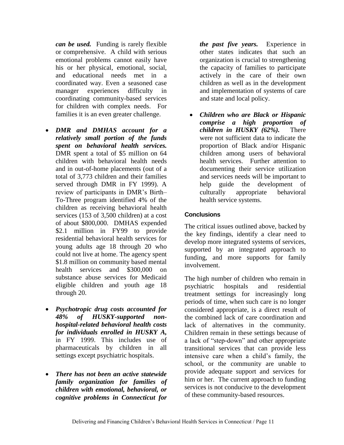*can be used.*Funding is rarely flexible or comprehensive. A child with serious emotional problems cannot easily have his or her physical, emotional, social, and educational needs met in a coordinated way. Even a seasoned case manager experiences difficulty in coordinating community-based services for children with complex needs. For families it is an even greater challenge.

- *DMR and DMHAS account for a relatively small portion of the funds spent on behavioral health services.*  DMR spent a total of \$5 million on 64 children with behavioral health needs and in out-of-home placements (out of a total of 3,773 children and their families served through DMR in FY 1999). A review of participants in DMR's Birth– To-Three program identified 4% of the children as receiving behavioral health services (153 of 3,500 children) at a cost of about \$800,000. DMHAS expended \$2.1 million in FY99 to provide residential behavioral health services for young adults age 18 through 20 who could not live at home. The agency spent \$1.8 million on community based mental health services and \$300,000 on substance abuse services for Medicaid eligible children and youth age 18 through 20.
- *Psychotropic drug costs accounted for 48% of HUSKY-supported nonhospital-related behavioral health costs for individuals enrolled in HUSKY A,* in FY 1999. This includes use of pharmaceuticals by children in all settings except psychiatric hospitals.
- *There has not been an active statewide family organization for families of children with emotional, behavioral, or cognitive problems in Connecticut for*

*the past five years.* Experience in other states indicates that such an organization is crucial to strengthening the capacity of families to participate actively in the care of their own children as well as in the development and implementation of systems of care and state and local policy.

 *Children who are Black or Hispanic comprise a high proportion of children in HUSKY (62%).* There were not sufficient data to indicate the proportion of Black and/or Hispanic children among users of behavioral health services. Further attention to documenting their service utilization and services needs will be important to help guide the development of culturally appropriate behavioral health service systems.

#### **Conclusions**

The critical issues outlined above, backed by the key findings, identify a clear need to develop more integrated systems of services, supported by an integrated approach to funding, and more supports for family involvement.

The high number of children who remain in psychiatric hospitals and residential treatment settings for increasingly long periods of time, when such care is no longer considered appropriate, is a direct result of the combined lack of care coordination and lack of alternatives in the community. Children remain in these settings because of a lack of "step-down" and other appropriate transitional services that can provide less intensive care when a child's family, the school, or the community are unable to provide adequate support and services for him or her. The current approach to funding services is not conducive to the development of these community-based resources.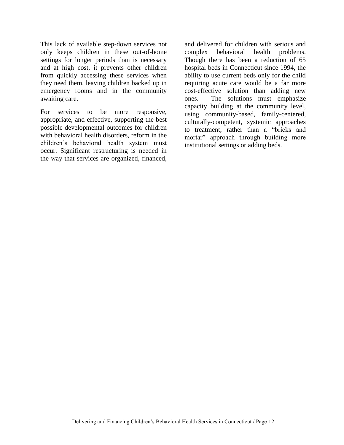This lack of available step-down services not only keeps children in these out-of-home settings for longer periods than is necessary and at high cost, it prevents other children from quickly accessing these services when they need them, leaving children backed up in emergency rooms and in the community awaiting care.

For services to be more responsive, appropriate, and effective, supporting the best possible developmental outcomes for children with behavioral health disorders, reform in the children's behavioral health system must occur. Significant restructuring is needed in the way that services are organized, financed,

and delivered for children with serious and complex behavioral health problems. Though there has been a reduction of 65 hospital beds in Connecticut since 1994, the ability to use current beds only for the child requiring acute care would be a far more cost-effective solution than adding new ones. The solutions must emphasize capacity building at the community level, using community-based, family-centered, culturally-competent, systemic approaches to treatment, rather than a "bricks and mortar" approach through building more institutional settings or adding beds.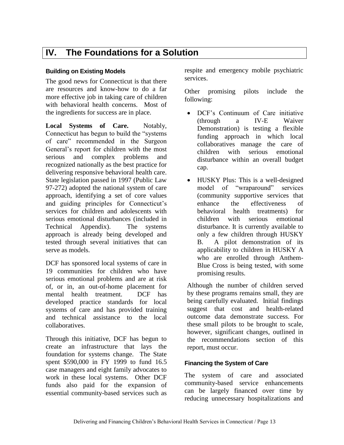## **IV. The Foundations for a Solution**

#### **Building on Existing Models**

The good news for Connecticut is that there are resources and know-how to do a far more effective job in taking care of children with behavioral health concerns. Most of the ingredients for success are in place.

**Local Systems of Care.** Notably, Connecticut has begun to build the "systems of care" recommended in the Surgeon General's report for children with the most serious and complex problems and recognized nationally as the best practice for delivering responsive behavioral health care. State legislation passed in 1997 (Public Law 97-272) adopted the national system of care approach, identifying a set of core values and guiding principles for Connecticut's services for children and adolescents with serious emotional disturbances (included in Technical Appendix). The systems approach is already being developed and tested through several initiatives that can serve as models.

DCF has sponsored local systems of care in 19 communities for children who have serious emotional problems and are at risk of, or in, an out-of-home placement for mental health treatment. DCF has developed practice standards for local systems of care and has provided training and technical assistance to the local collaboratives.

Through this initiative, DCF has begun to create an infrastructure that lays the foundation for systems change. The State spent \$590,000 in FY 1999 to fund 16.5 case managers and eight family advocates to work in these local systems. Other DCF funds also paid for the expansion of essential community-based services such as

respite and emergency mobile psychiatric services.

Other promising pilots include the following:

- DCF's Continuum of Care initiative (through a IV-E Waiver Demonstration) is testing a flexible funding approach in which local collaboratives manage the care of children with serious emotional disturbance within an overall budget cap.
- HUSKY Plus: This is a well-designed model of "wraparound" services (community supportive services that enhance the effectiveness of behavioral health treatments) for children with serious emotional disturbance. It is currently available to only a few children through HUSKY B. A pilot demonstration of its applicability to children in HUSKY A who are enrolled through Anthem-Blue Cross is being tested, with some promising results.

Although the number of children served by these programs remains small, they are being carefully evaluated. Initial findings suggest that cost and health-related outcome data demonstrate success. For these small pilots to be brought to scale, however, significant changes, outlined in the recommendations section of this report, must occur.

#### **Financing the System of Care**

The system of care and associated community-based service enhancements can be largely financed over time by reducing unnecessary hospitalizations and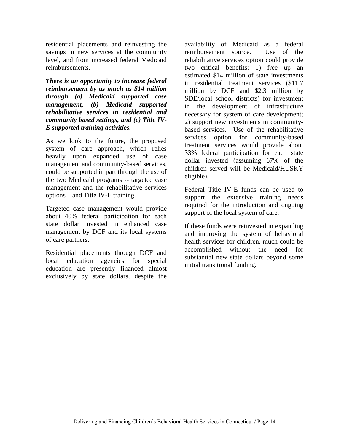residential placements and reinvesting the savings in new services at the community level, and from increased federal Medicaid reimbursements.

*There is an opportunity to increase federal reimbursement by as much as \$14 million through (a) Medicaid supported case management, (b) Medicaid supported rehabilitative services in residential and community based settings, and (c) Title IV-E supported training activities.* 

As we look to the future, the proposed system of care approach, which relies heavily upon expanded use of case management and community-based services, could be supported in part through the use of the two Medicaid programs -- targeted case management and the rehabilitative services options – and Title IV-E training.

Targeted case management would provide about 40% federal participation for each state dollar invested in enhanced case management by DCF and its local systems of care partners.

Residential placements through DCF and local education agencies for special education are presently financed almost exclusively by state dollars, despite the availability of Medicaid as a federal reimbursement source. Use of the rehabilitative services option could provide two critical benefits: 1) free up an estimated \$14 million of state investments in residential treatment services (\$11.7 million by DCF and \$2.3 million by SDE/local school districts) for investment in the development of infrastructure necessary for system of care development; 2) support new investments in communitybased services. Use of the rehabilitative services option for community-based treatment services would provide about 33% federal participation for each state dollar invested (assuming 67% of the children served will be Medicaid/HUSKY eligible).

Federal Title IV-E funds can be used to support the extensive training needs required for the introduction and ongoing support of the local system of care.

If these funds were reinvested in expanding and improving the system of behavioral health services for children, much could be accomplished without the need for substantial new state dollars beyond some initial transitional funding.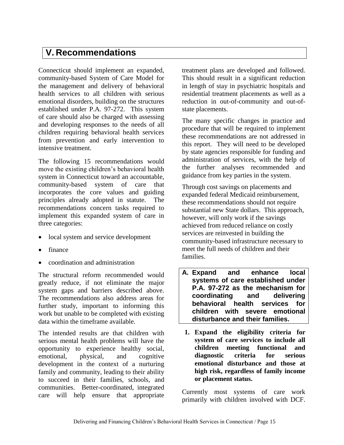# **V. Recommendations**

Connecticut should implement an expanded, community-based System of Care Model for the management and delivery of behavioral health services to all children with serious emotional disorders, building on the structures established under P.A. 97-272. This system of care should also be charged with assessing and developing responses to the needs of all children requiring behavioral health services from prevention and early intervention to intensive treatment.

The following 15 recommendations would move the existing children's behavioral health system in Connecticut toward an accountable, community-based system of care that incorporates the core values and guiding principles already adopted in statute. The recommendations concern tasks required to implement this expanded system of care in three categories:

- local system and service development
- finance
- coordination and administration

The structural reform recommended would greatly reduce, if not eliminate the major system gaps and barriers described above. The recommendations also address areas for further study, important to informing this work but unable to be completed with existing data within the timeframe available.

The intended results are that children with serious mental health problems will have the opportunity to experience healthy social, emotional, physical, and cognitive development in the context of a nurturing family and community, leading to their ability to succeed in their families, schools, and communities. Better-coordinated, integrated care will help ensure that appropriate treatment plans are developed and followed. This should result in a significant reduction in length of stay in psychiatric hospitals and residential treatment placements as well as a reduction in out-of-community and out-ofstate placements.

The many specific changes in practice and procedure that will be required to implement these recommendations are not addressed in this report. They will need to be developed by state agencies responsible for funding and administration of services, with the help of the further analyses recommended and guidance from key parties in the system.

Through cost savings on placements and expanded federal Medicaid reimbursement, these recommendations should not require substantial new State dollars. This approach, however, will only work if the savings achieved from reduced reliance on costly services are reinvested in building the community-based infrastructure necessary to meet the full needs of children and their families.

- **A. Expand and enhance local systems of care established under P.A. 97-272 as the mechanism for coordinating and delivering behavioral health services for children with severe emotional disturbance and their families.**
- **1. Expand the eligibility criteria for system of care services to include all children meeting functional and diagnostic criteria for serious emotional disturbance and those at high risk, regardless of family income or placement status.**

Currently most systems of care work primarily with children involved with DCF.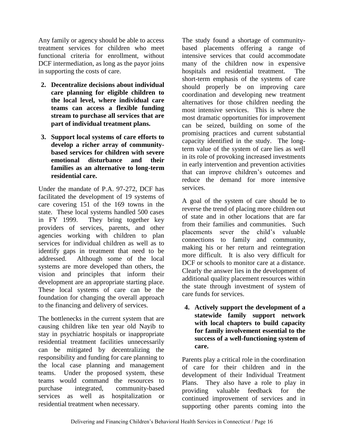Any family or agency should be able to access treatment services for children who meet functional criteria for enrollment, without DCF intermediation, as long as the payor joins in supporting the costs of care.

- **2. Decentralize decisions about individual care planning for eligible children to the local level, where individual care teams can access a flexible funding stream to purchase all services that are part of individual treatment plans.**
- **3. Support local systems of care efforts to develop a richer array of communitybased services for children with severe emotional disturbance and their families as an alternative to long-term residential care.**

Under the mandate of P.A. 97-272, DCF has facilitated the development of 19 systems of care covering 151 of the 169 towns in the state. These local systems handled 500 cases in FY 1999. They bring together key providers of services, parents, and other agencies working with children to plan services for individual children as well as to identify gaps in treatment that need to be addressed. Although some of the local systems are more developed than others, the vision and principles that inform their development are an appropriate starting place. These local systems of care can be the foundation for changing the overall approach to the financing and delivery of services.

The bottlenecks in the current system that are causing children like ten year old Nayib to stay in psychiatric hospitals or inappropriate residential treatment facilities unnecessarily can be mitigated by decentralizing the responsibility and funding for care planning to the local case planning and management teams. Under the proposed system, these teams would command the resources to purchase integrated, community-based services as well as hospitalization or residential treatment when necessary.

The study found a shortage of communitybased placements offering a range of intensive services that could accommodate many of the children now in expensive hospitals and residential treatment. The short-term emphasis of the systems of care should properly be on improving care coordination and developing new treatment alternatives for those children needing the most intensive services. This is where the most dramatic opportunities for improvement can be seized, building on some of the promising practices and current substantial capacity identified in the study. The longterm value of the system of care lies as well in its role of provoking increased investments in early intervention and prevention activities that can improve children's outcomes and reduce the demand for more intensive services.

A goal of the system of care should be to reverse the trend of placing more children out of state and in other locations that are far from their families and communities. Such placements sever the child's valuable connections to family and community, making his or her return and reintegration more difficult. It is also very difficult for DCF or schools to monitor care at a distance. Clearly the answer lies in the development of additional quality placement resources within the state through investment of system of care funds for services.

**4. Actively support the development of a statewide family support network with local chapters to build capacity for family involvement essential to the success of a well-functioning system of care.**

Parents play a critical role in the coordination of care for their children and in the development of their Individual Treatment Plans. They also have a role to play in providing valuable feedback for the continued improvement of services and in supporting other parents coming into the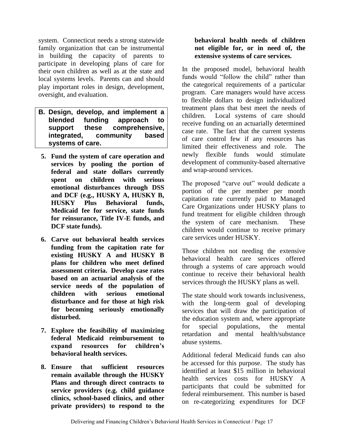system. Connecticut needs a strong statewide family organization that can be instrumental in building the capacity of parents to participate in developing plans of care for their own children as well as at the state and local systems levels. Parents can and should play important roles in design, development, oversight, and evaluation.

- **B. Design, develop, and implement a blended funding approach to support these comprehensive, integrated, community based systems of care.**
- **5. Fund the system of care operation and services by pooling the portion of federal and state dollars currently spent on children with serious emotional disturbances through DSS and DCF (e.g., HUSKY A, HUSKY B, HUSKY Plus Behavioral funds, Medicaid fee for service, state funds for reinsurance, Title IV-E funds, and DCF state funds).**
- **6. Carve out behavioral health services funding from the capitation rate for existing HUSKY A and HUSKY B plans for children who meet defined assessment criteria. Develop case rates based on an actuarial analysis of the service needs of the population of children with serious emotional disturbance and for those at high risk for becoming seriously emotionally disturbed.**
- **7. Explore the feasibility of maximizing federal Medicaid reimbursement to expand resources for children's behavioral health services.**
- **8. Ensure that sufficient resources remain available through the HUSKY Plans and through direct contracts to service providers (e.g. child guidance clinics, school-based clinics, and other private providers) to respond to the**

#### **behavioral health needs of children not eligible for, or in need of, the extensive systems of care services.**

In the proposed model, behavioral health funds would "follow the child" rather than the categorical requirements of a particular program. Care managers would have access to flexible dollars to design individualized treatment plans that best meet the needs of children. Local systems of care should receive funding on an actuarially determined case rate. The fact that the current systems of care control few if any resources has limited their effectiveness and role. The newly flexible funds would stimulate development of community-based alternative and wrap-around services.

The proposed "carve out" would dedicate a portion of the per member per month capitation rate currently paid to Managed Care Organizations under HUSKY plans to fund treatment for eligible children through the system of care mechanism. These children would continue to receive primary care services under HUSKY.

Those children not needing the extensive behavioral health care services offered through a systems of care approach would continue to receive their behavioral health services through the HUSKY plans as well.

The state should work towards inclusiveness, with the long-term goal of developing services that will draw the participation of the education system and, where appropriate for special populations, the mental retardation and mental health/substance abuse systems.

Additional federal Medicaid funds can also be accessed for this purpose. The study has identified at least \$15 million in behavioral health services costs for HUSKY A participants that could be submitted for federal reimbursement. This number is based on re-categorizing expenditures for DCF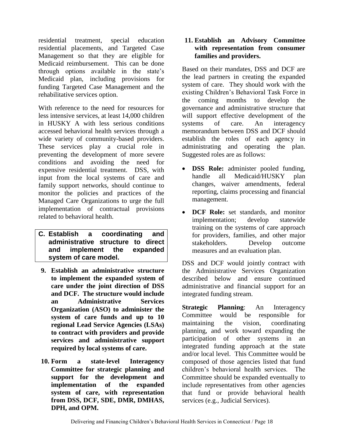residential treatment, special education residential placements, and Targeted Case Management so that they are eligible for Medicaid reimbursement. This can be done through options available in the state's Medicaid plan, including provisions for funding Targeted Case Management and the rehabilitative services option.

With reference to the need for resources for less intensive services, at least 14,000 children in HUSKY A with less serious conditions accessed behavioral health services through a wide variety of community-based providers. These services play a crucial role in preventing the development of more severe conditions and avoiding the need for expensive residential treatment. DSS, with input from the local systems of care and family support networks, should continue to monitor the policies and practices of the Managed Care Organizations to urge the full implementation of contractual provisions related to behavioral health.

- **C. Establish a coordinating and administrative structure to direct and implement the expanded system of care model.**
- **9. Establish an administrative structure to implement the expanded system of care under the joint direction of DSS and DCF. The structure would include an Administrative Services Organization (ASO) to administer the system of care funds and up to 10 regional Lead Service Agencies (LSAs) to contract with providers and provide services and administrative support required by local systems of care.**
- **10. Form a state-level Interagency Committee for strategic planning and support for the development and implementation of the expanded system of care, with representation from DSS, DCF, SDE, DMR, DMHAS, DPH, and OPM.**

#### **11. Establish an Advisory Committee with representation from consumer families and providers.**

Based on their mandates, DSS and DCF are the lead partners in creating the expanded system of care. They should work with the existing Children's Behavioral Task Force in the coming months to develop the governance and administrative structure that will support effective development of the systems of care. An interagency memorandum between DSS and DCF should establish the roles of each agency in administrating and operating the plan. Suggested roles are as follows:

- **DSS Role:** administer pooled funding, handle all Medicaid/HUSKY plan changes, waiver amendments, federal reporting, claims processing and financial management.
- **DCF Role:** set standards, and monitor implementation; develop statewide training on the systems of care approach for providers, families, and other major stakeholders. Develop outcome measures and an evaluation plan.

DSS and DCF would jointly contract with the Administrative Services Organization described below and ensure continued administrative and financial support for an integrated funding stream.

**Strategic Planning**: An Interagency Committee would be responsible for maintaining the vision, coordinating planning, and work toward expanding the participation of other systems in an integrated funding approach at the state and/or local level. This Committee would be composed of those agencies listed that fund children's behavioral health services. The Committee should be expanded eventually to include representatives from other agencies that fund or provide behavioral health services (e.g., Judicial Services).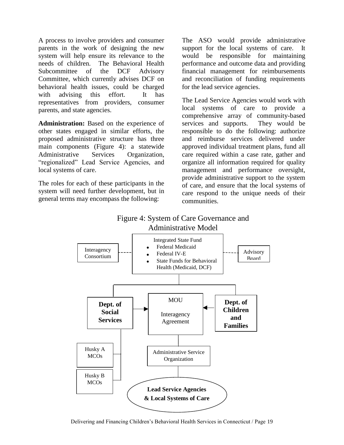A process to involve providers and consumer parents in the work of designing the new system will help ensure its relevance to the needs of children. The Behavioral Health Subcommittee of the DCF Advisory Committee, which currently advises DCF on behavioral health issues, could be charged with advising this effort. It has representatives from providers, consumer parents, and state agencies.

**Administration:** Based on the experience of other states engaged in similar efforts, the proposed administrative structure has three main components (Figure 4): a statewide Administrative Services Organization, "regionalized" Lead Service Agencies, and local systems of care.

The roles for each of these participants in the system will need further development, but in general terms may encompass the following:

The ASO would provide administrative support for the local systems of care. It would be responsible for maintaining performance and outcome data and providing financial management for reimbursements and reconciliation of funding requirements for the lead service agencies.

The Lead Service Agencies would work with local systems of care to provide a comprehensive array of community-based services and supports. They would be responsible to do the following: authorize and reimburse services delivered under approved individual treatment plans, fund all care required within a case rate, gather and organize all information required for quality management and performance oversight, provide administrative support to the system of care, and ensure that the local systems of care respond to the unique needs of their communities.

## Figure 4: System of Care Governance and Administrative Model

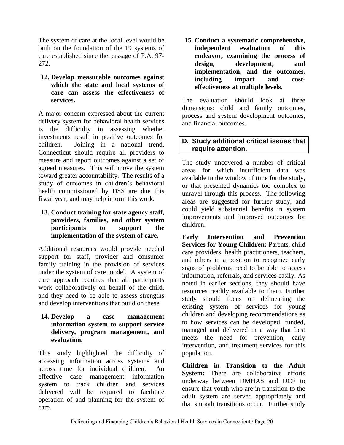The system of care at the local level would be built on the foundation of the 19 systems of care established since the passage of P.A. 97- 272.

**12. Develop measurable outcomes against which the state and local systems of care can assess the effectiveness of services.** 

A major concern expressed about the current delivery system for behavioral health services is the difficulty in assessing whether investments result in positive outcomes for children. Joining in a national trend, Connecticut should require all providers to measure and report outcomes against a set of agreed measures. This will move the system toward greater accountability. The results of a study of outcomes in children's behavioral health commissioned by DSS are due this fiscal year, and may help inform this work.

#### **13. Conduct training for state agency staff, providers, families, and other system participants to support the implementation of the system of care.**

Additional resources would provide needed support for staff, provider and consumer family training in the provision of services under the system of care model. A system of care approach requires that all participants work collaboratively on behalf of the child, and they need to be able to assess strengths and develop interventions that build on these.

**14. Develop a case management information system to support service delivery, program management, and evaluation.**

This study highlighted the difficulty of accessing information across systems and across time for individual children. An effective case management information system to track children and services delivered will be required to facilitate operation of and planning for the system of care.

**15. Conduct a systematic comprehensive, independent evaluation of this endeavor, examining the process of design, development, and implementation, and the outcomes, including impact and costeffectiveness at multiple levels.**

The evaluation should look at three dimensions: child and family outcomes, process and system development outcomes, and financial outcomes.

#### **D. Study additional critical issues that require attention.**

The study uncovered a number of critical areas for which insufficient data was available in the window of time for the study, or that presented dynamics too complex to unravel through this process. The following areas are suggested for further study, and could yield substantial benefits in system improvements and improved outcomes for children.

**Early Intervention and Prevention Services for Young Children:** Parents, child care providers, health practitioners, teachers, and others in a position to recognize early signs of problems need to be able to access information, referrals, and services easily. As noted in earlier sections, they should have resources readily available to them. Further study should focus on delineating the existing system of services for young children and developing recommendations as to how services can be developed, funded, managed and delivered in a way that best meets the need for prevention, early intervention, and treatment services for this population.

**Children in Transition to the Adult System:** There are collaborative efforts underway between DMHAS and DCF to ensure that youth who are in transition to the adult system are served appropriately and that smooth transitions occur. Further study